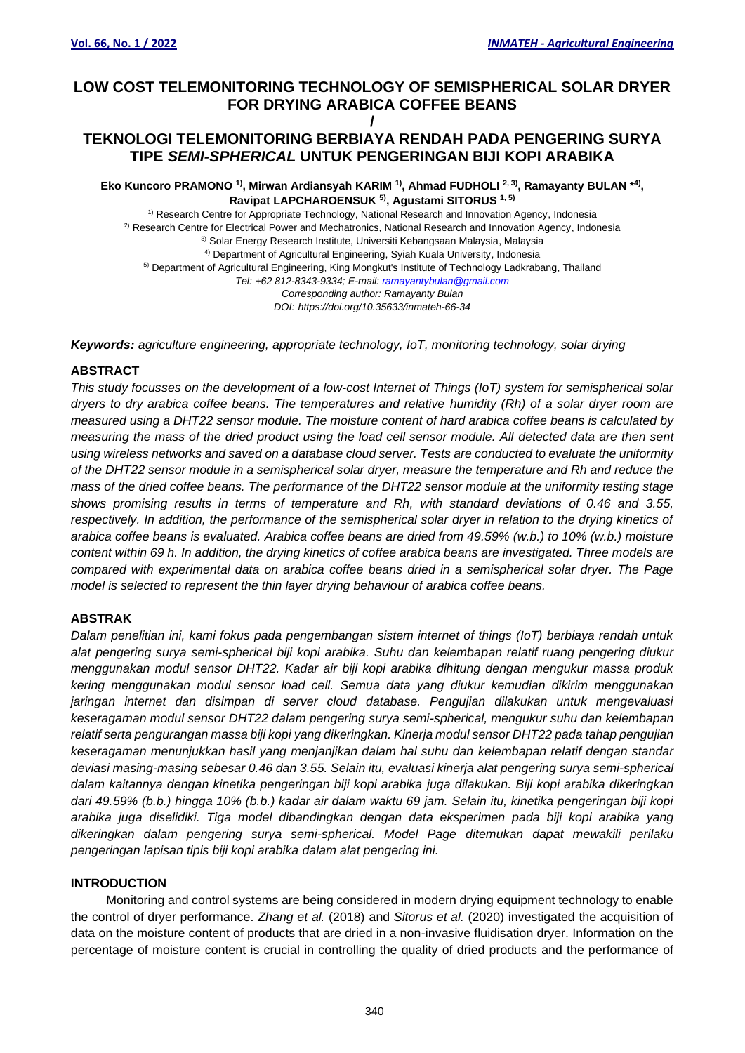# **LOW COST TELEMONITORING TECHNOLOGY OF SEMISPHERICAL SOLAR DRYER FOR DRYING ARABICA COFFEE BEANS /**

# **TEKNOLOGI TELEMONITORING BERBIAYA RENDAH PADA PENGERING SURYA TIPE** *SEMI-SPHERICAL* **UNTUK PENGERINGAN BIJI KOPI ARABIKA**

**Eko Kuncoro PRAMONO <sup>1)</sup>, Mirwan Ardiansyah KARIM <sup>1)</sup>, Ahmad FUDHOLI <sup>2, 3)</sup>, Ramayanty BULAN \*<sup>4)</sup>, Ravipat LAPCHAROENSUK 5) , Agustami SITORUS 1, 5)**

1) Research Centre for Appropriate Technology, National Research and Innovation Agency, Indonesia 2) Research Centre for Electrical Power and Mechatronics, National Research and Innovation Agency, Indonesia 3) Solar Energy Research Institute, Universiti Kebangsaan Malaysia, Malaysia 4) Department of Agricultural Engineering, Syiah Kuala University, Indonesia 5) Department of Agricultural Engineering, King Mongkut's Institute of Technology Ladkrabang, Thailand *Tel: +62 812-8343-9334; E-mail[: ramayantybulan@gmail.com](mailto:ramayantybulan@gmail.com) Corresponding author: Ramayanty Bulan DOI: https://doi.org/10.35633/inmateh-66-34*

*Keywords: agriculture engineering, appropriate technology, IoT, monitoring technology, solar drying*

# **ABSTRACT**

*This study focusses on the development of a low-cost Internet of Things (IoT) system for semispherical solar dryers to dry arabica coffee beans. The temperatures and relative humidity (Rh) of a solar dryer room are measured using a DHT22 sensor module. The moisture content of hard arabica coffee beans is calculated by measuring the mass of the dried product using the load cell sensor module. All detected data are then sent using wireless networks and saved on a database cloud server. Tests are conducted to evaluate the uniformity of the DHT22 sensor module in a semispherical solar dryer, measure the temperature and Rh and reduce the mass of the dried coffee beans. The performance of the DHT22 sensor module at the uniformity testing stage shows promising results in terms of temperature and Rh, with standard deviations of 0.46 and 3.55, respectively. In addition, the performance of the semispherical solar dryer in relation to the drying kinetics of arabica coffee beans is evaluated. Arabica coffee beans are dried from 49.59% (w.b.) to 10% (w.b.) moisture content within 69 h. In addition, the drying kinetics of coffee arabica beans are investigated. Three models are compared with experimental data on arabica coffee beans dried in a semispherical solar dryer. The Page model is selected to represent the thin layer drying behaviour of arabica coffee beans.*

# **ABSTRAK**

*Dalam penelitian ini, kami fokus pada pengembangan sistem internet of things (IoT) berbiaya rendah untuk alat pengering surya semi-spherical biji kopi arabika. Suhu dan kelembapan relatif ruang pengering diukur menggunakan modul sensor DHT22. Kadar air biji kopi arabika dihitung dengan mengukur massa produk kering menggunakan modul sensor load cell. Semua data yang diukur kemudian dikirim menggunakan jaringan internet dan disimpan di server cloud database. Pengujian dilakukan untuk mengevaluasi keseragaman modul sensor DHT22 dalam pengering surya semi-spherical, mengukur suhu dan kelembapan relatif serta pengurangan massa biji kopi yang dikeringkan. Kinerja modul sensor DHT22 pada tahap pengujian keseragaman menunjukkan hasil yang menjanjikan dalam hal suhu dan kelembapan relatif dengan standar deviasi masing-masing sebesar 0.46 dan 3.55. Selain itu, evaluasi kinerja alat pengering surya semi-spherical dalam kaitannya dengan kinetika pengeringan biji kopi arabika juga dilakukan. Biji kopi arabika dikeringkan dari 49.59% (b.b.) hingga 10% (b.b.) kadar air dalam waktu 69 jam. Selain itu, kinetika pengeringan biji kopi arabika juga diselidiki. Tiga model dibandingkan dengan data eksperimen pada biji kopi arabika yang dikeringkan dalam pengering surya semi-spherical. Model Page ditemukan dapat mewakili perilaku pengeringan lapisan tipis biji kopi arabika dalam alat pengering ini.*

## **INTRODUCTION**

Monitoring and control systems are being considered in modern drying equipment technology to enable the control of dryer performance. *Zhang et al.* (2018) and *Sitorus et al.* (2020) investigated the acquisition of data on the moisture content of products that are dried in a non-invasive fluidisation dryer. Information on the percentage of moisture content is crucial in controlling the quality of dried products and the performance of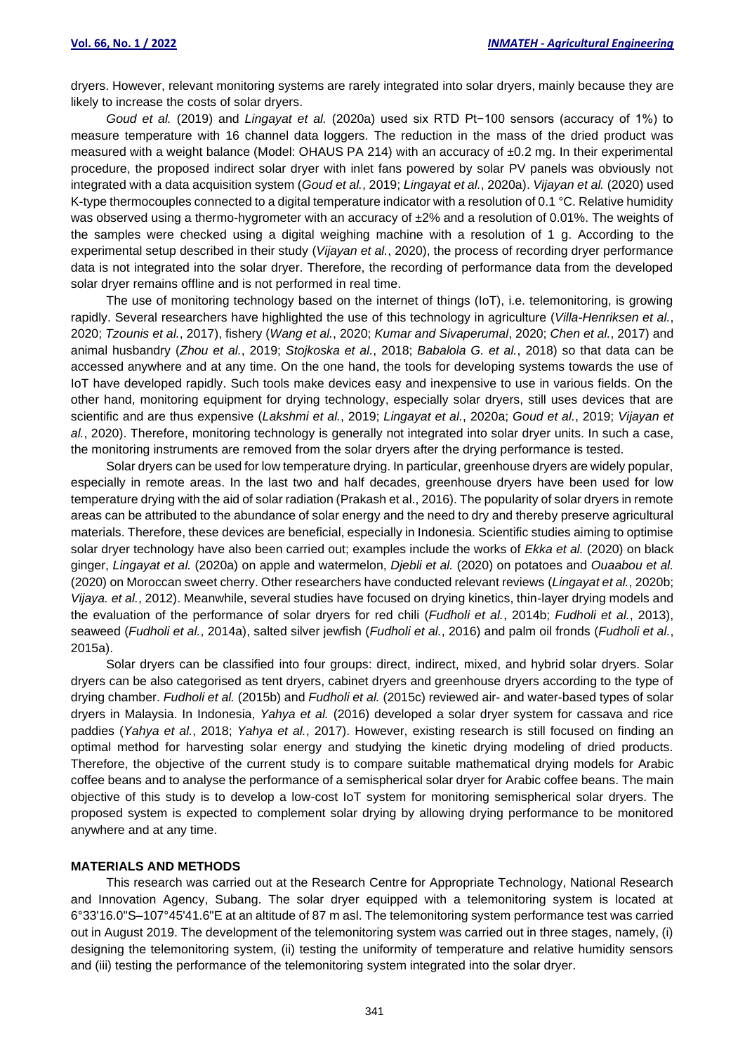dryers. However, relevant monitoring systems are rarely integrated into solar dryers, mainly because they are likely to increase the costs of solar dryers.

*Goud et al.* (2019) and *Lingayat et al.* (2020a) used six RTD Pt−100 sensors (accuracy of 1%) to measure temperature with 16 channel data loggers. The reduction in the mass of the dried product was measured with a weight balance (Model: OHAUS PA 214) with an accuracy of ±0.2 mg. In their experimental procedure, the proposed indirect solar dryer with inlet fans powered by solar PV panels was obviously not integrated with a data acquisition system (*Goud et al.*, 2019; *Lingayat et al.*, 2020a). *Vijayan et al.* (2020) used K-type thermocouples connected to a digital temperature indicator with a resolution of 0.1 °C. Relative humidity was observed using a thermo-hygrometer with an accuracy of  $\pm 2\%$  and a resolution of 0.01%. The weights of the samples were checked using a digital weighing machine with a resolution of 1 g. According to the experimental setup described in their study (*Vijayan et al.*, 2020), the process of recording dryer performance data is not integrated into the solar dryer. Therefore, the recording of performance data from the developed solar dryer remains offline and is not performed in real time.

The use of monitoring technology based on the internet of things (IoT), i.e. telemonitoring, is growing rapidly. Several researchers have highlighted the use of this technology in agriculture (*Villa-Henriksen et al.*, 2020; *Tzounis et al.*, 2017), fishery (*Wang et al.*, 2020; *Kumar and Sivaperumal*, 2020; *Chen et al.*, 2017) and animal husbandry (*Zhou et al.*, 2019; *Stojkoska et al.*, 2018; *Babalola G. et al.*, 2018) so that data can be accessed anywhere and at any time. On the one hand, the tools for developing systems towards the use of IoT have developed rapidly. Such tools make devices easy and inexpensive to use in various fields. On the other hand, monitoring equipment for drying technology, especially solar dryers, still uses devices that are scientific and are thus expensive (*Lakshmi et al.*, 2019; *Lingayat et al.*, 2020a; *Goud et al.*, 2019; *Vijayan et al.*, 2020). Therefore, monitoring technology is generally not integrated into solar dryer units. In such a case, the monitoring instruments are removed from the solar dryers after the drying performance is tested.

Solar dryers can be used for low temperature drying. In particular, greenhouse dryers are widely popular, especially in remote areas. In the last two and half decades, greenhouse dryers have been used for low temperature drying with the aid of solar radiation (Prakash et al., 2016). The popularity of solar dryers in remote areas can be attributed to the abundance of solar energy and the need to dry and thereby preserve agricultural materials. Therefore, these devices are beneficial, especially in Indonesia. Scientific studies aiming to optimise solar dryer technology have also been carried out; examples include the works of *Ekka et al.* (2020) on black ginger, *Lingayat et al.* (2020a) on apple and watermelon, *Djebli et al.* (2020) on potatoes and *Ouaabou et al.* (2020) on Moroccan sweet cherry. Other researchers have conducted relevant reviews (*Lingayat et al.*, 2020b; *Vijaya. et al.*, 2012). Meanwhile, several studies have focused on drying kinetics, thin-layer drying models and the evaluation of the performance of solar dryers for red chili (*Fudholi et al.*, 2014b; *Fudholi et al.*, 2013), seaweed (*Fudholi et al.*, 2014a), salted silver jewfish (*Fudholi et al.*, 2016) and palm oil fronds (*Fudholi et al.*, 2015a).

Solar dryers can be classified into four groups: direct, indirect, mixed, and hybrid solar dryers. Solar dryers can be also categorised as tent dryers, cabinet dryers and greenhouse dryers according to the type of drying chamber. *Fudholi et al.* (2015b) and *Fudholi et al.* (2015c) reviewed air- and water-based types of solar dryers in Malaysia. In Indonesia, *Yahya et al.* (2016) developed a solar dryer system for cassava and rice paddies (*Yahya et al.*, 2018; *Yahya et al.*, 2017). However, existing research is still focused on finding an optimal method for harvesting solar energy and studying the kinetic drying modeling of dried products. Therefore, the objective of the current study is to compare suitable mathematical drying models for Arabic coffee beans and to analyse the performance of a semispherical solar dryer for Arabic coffee beans. The main objective of this study is to develop a low-cost IoT system for monitoring semispherical solar dryers. The proposed system is expected to complement solar drying by allowing drying performance to be monitored anywhere and at any time.

### **MATERIALS AND METHODS**

This research was carried out at the Research Centre for Appropriate Technology, National Research and Innovation Agency, Subang. The solar dryer equipped with a telemonitoring system is located at 6°33'16.0"S–107°45'41.6"E at an altitude of 87 m asl. The telemonitoring system performance test was carried out in August 2019. The development of the telemonitoring system was carried out in three stages, namely, (i) designing the telemonitoring system, (ii) testing the uniformity of temperature and relative humidity sensors and (iii) testing the performance of the telemonitoring system integrated into the solar dryer.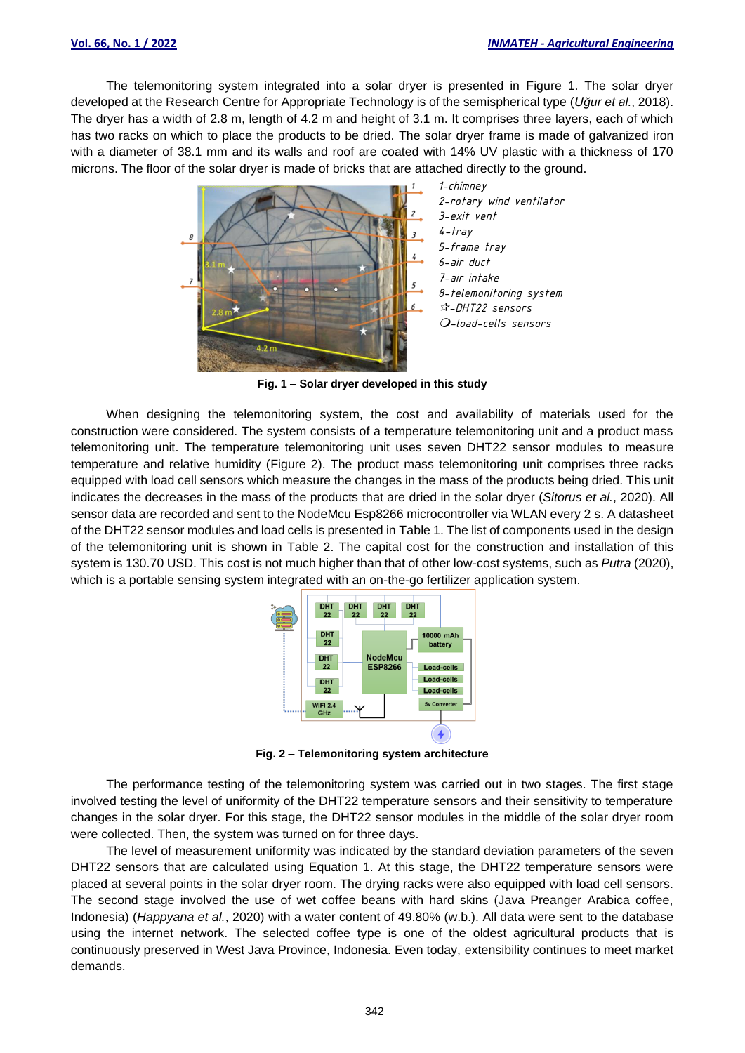The telemonitoring system integrated into a solar dryer is presented in Figure 1. The solar dryer developed at the Research Centre for Appropriate Technology is of the semispherical type (*Uğur et al.*, 2018). The dryer has a width of 2.8 m, length of 4.2 m and height of 3.1 m. It comprises three layers, each of which has two racks on which to place the products to be dried. The solar dryer frame is made of galvanized iron with a diameter of 38.1 mm and its walls and roof are coated with 14% UV plastic with a thickness of 170 microns. The floor of the solar dryer is made of bricks that are attached directly to the ground.



**Fig. 1 – Solar dryer developed in this study**

When designing the telemonitoring system, the cost and availability of materials used for the construction were considered. The system consists of a temperature telemonitoring unit and a product mass telemonitoring unit. The temperature telemonitoring unit uses seven DHT22 sensor modules to measure temperature and relative humidity (Figure 2). The product mass telemonitoring unit comprises three racks equipped with load cell sensors which measure the changes in the mass of the products being dried. This unit indicates the decreases in the mass of the products that are dried in the solar dryer (*Sitorus et al.*, 2020). All sensor data are recorded and sent to the NodeMcu Esp8266 microcontroller via WLAN every 2 s. A datasheet of the DHT22 sensor modules and load cells is presented in Table 1. The list of components used in the design of the telemonitoring unit is shown in Table 2. The capital cost for the construction and installation of this system is 130.70 USD. This cost is not much higher than that of other low-cost systems, such as *Putra* (2020), which is a portable sensing system integrated with an on-the-go fertilizer application system.



**Fig. 2 – Telemonitoring system architecture**

The performance testing of the telemonitoring system was carried out in two stages. The first stage involved testing the level of uniformity of the DHT22 temperature sensors and their sensitivity to temperature changes in the solar dryer. For this stage, the DHT22 sensor modules in the middle of the solar dryer room were collected. Then, the system was turned on for three days.

The level of measurement uniformity was indicated by the standard deviation parameters of the seven DHT22 sensors that are calculated using Equation 1. At this stage, the DHT22 temperature sensors were placed at several points in the solar dryer room. The drying racks were also equipped with load cell sensors. The second stage involved the use of wet coffee beans with hard skins (Java Preanger Arabica coffee, Indonesia) (*Happyana et al.*, 2020) with a water content of 49.80% (w.b.). All data were sent to the database using the internet network. The selected coffee type is one of the oldest agricultural products that is continuously preserved in West Java Province, Indonesia. Even today, extensibility continues to meet market demands.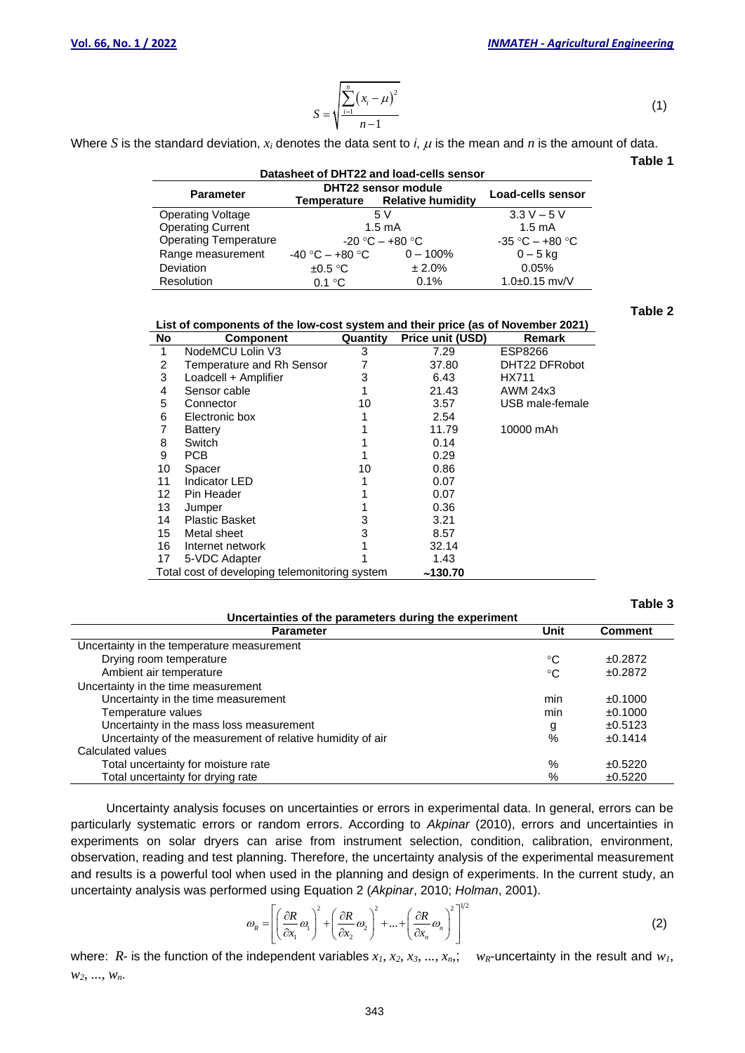$$
S = \sqrt{\frac{\sum_{i=1}^{n} (x_i - \mu)^2}{n-1}}
$$

Where *S* is the standard deviation,  $x_i$  denotes the data sent to *i*,  $\mu$  is the mean and *n* is the amount of data.

**Datasheet of DHT22 and load-cells sensor Parameter DHT22 sensor module Load-cells sensor**<br>ting Voltage **Temperature Relative humidity Load-cells sensor**<br> $5 \text{ V}$   $3.3 \text{ V} - 5 \text{ V}$ Operating Voltage 5 V 3.3 V – 5<br>Operating Current 1.5 mA 1.5 mA Operating Current 1.5 mA<br>
Operating Temperature 1.5 mA<br>  $-20 °C - +80 °C$ <br>  $-80 °C$ <br>  $-80 °C - +80 °C$ Operating Temperature  $-20^{\circ}$ C – +80 °C  $-35^{\circ}$ C – +80 °C  $-5^{\circ}$  kg Range measurement  $-40^{\circ}$ C – +80 °C  $-100\%$   $0-5^{\circ}$  kg Range measurement  $-40 \text{ °C} - +80 \text{ °C}$   $0 - 100\%$   $0 - 5 \text{ kg}$ <br>Deviation  $\pm 0.5 \text{ °C}$   $\pm 2.0\%$  0.05% Deviation  $\pm 0.5 \degree$ C  $\pm 2.0\%$  0.05% Resolution 0.1 °C 0.1% 1.0±0.15 mv/V

**Table 2**

(1)

**Table 1**

| List of components of the low-cost system and their price (as of November 2021) |                                                |          |                         |                 |  |  |  |  |  |
|---------------------------------------------------------------------------------|------------------------------------------------|----------|-------------------------|-----------------|--|--|--|--|--|
| No                                                                              | Component                                      | Quantity | <b>Price unit (USD)</b> | <b>Remark</b>   |  |  |  |  |  |
| 1                                                                               | NodeMCU Lolin V3                               | 3        | 7.29                    | ESP8266         |  |  |  |  |  |
| 2                                                                               | Temperature and Rh Sensor                      |          | 37.80                   | DHT22 DFRobot   |  |  |  |  |  |
| 3                                                                               | Loadcell + Amplifier                           | 3        | 6.43                    | HX711           |  |  |  |  |  |
| 4                                                                               | Sensor cable                                   |          | 21.43                   | AWM 24x3        |  |  |  |  |  |
| 5                                                                               | Connector                                      | 10       | 3.57                    | USB male-female |  |  |  |  |  |
| 6                                                                               | Electronic box                                 |          | 2.54                    |                 |  |  |  |  |  |
| 7                                                                               | Battery                                        |          | 11.79                   | 10000 mAh       |  |  |  |  |  |
| 8                                                                               | Switch                                         |          | 0.14                    |                 |  |  |  |  |  |
| 9                                                                               | <b>PCB</b>                                     |          | 0.29                    |                 |  |  |  |  |  |
| 10                                                                              | Spacer                                         | 10       | 0.86                    |                 |  |  |  |  |  |
| 11                                                                              | Indicator LED                                  |          | 0.07                    |                 |  |  |  |  |  |
| 12                                                                              | Pin Header                                     |          | 0.07                    |                 |  |  |  |  |  |
| 13                                                                              | Jumper                                         |          | 0.36                    |                 |  |  |  |  |  |
| 14                                                                              | <b>Plastic Basket</b>                          | 3        | 3.21                    |                 |  |  |  |  |  |
| 15                                                                              | Metal sheet                                    | 3        | 8.57                    |                 |  |  |  |  |  |
| 16                                                                              | Internet network                               |          | 32.14                   |                 |  |  |  |  |  |
| 17                                                                              | 5-VDC Adapter                                  |          | 1.43                    |                 |  |  |  |  |  |
|                                                                                 | Total cost of developing telemonitoring system |          | ~130.70                 |                 |  |  |  |  |  |

|                                                            |                 | Table 3        |
|------------------------------------------------------------|-----------------|----------------|
| Uncertainties of the parameters during the experiment      |                 |                |
| <b>Parameter</b>                                           | Unit            | <b>Comment</b> |
| Uncertainty in the temperature measurement                 |                 |                |
| Drying room temperature                                    | ℃               | ±0.2872        |
| Ambient air temperature                                    | $\rm ^{\circ}C$ | ±0.2872        |
| Uncertainty in the time measurement                        |                 |                |
| Uncertainty in the time measurement                        | min             | ±0.1000        |
| Temperature values                                         | min             | ±0.1000        |
| Uncertainty in the mass loss measurement                   | g               | ±0.5123        |
| Uncertainty of the measurement of relative humidity of air | $\frac{9}{6}$   | ±0.1414        |
| Calculated values                                          |                 |                |
| Total uncertainty for moisture rate                        | %               | ±0.5220        |
| Total uncertainty for drying rate                          | %               | ±0.5220        |

Uncertainty analysis focuses on uncertainties or errors in experimental data. In general, errors can be particularly systematic errors or random errors. According to *Akpinar* (2010), errors and uncertainties in experiments on solar dryers can arise from instrument selection, condition, calibration, environment, observation, reading and test planning. Therefore, the uncertainty analysis of the experimental measurement and results is a powerful tool when used in the planning and design of experiments. In the current study, an uncertainty analysis was performed using Equation 2 (*Akpinar*, 2010; *Holman*, 2001).<br> $\omega_{\text{R}} = \left[ \left( \frac{\partial R}{\partial \phi} \right)^2 + \left( \frac{\partial R}{\partial \phi} \right)^2 + \dots + \left( \frac{\partial R}{\partial \phi} \right)^2 \right]^{1/2}$ 

$$
\omega_{R} = \left[ \left( \frac{\partial R}{\partial x_{1}} \omega_{1} \right)^{2} + \left( \frac{\partial R}{\partial x_{2}} \omega_{2} \right)^{2} + \ldots + \left( \frac{\partial R}{\partial x_{n}} \omega_{n} \right)^{2} \right]^{1/2}
$$
(2)

where:  $R$ - is the function of the independent variables  $x_1, x_2, x_3, ..., x_n$ ;  $w_R$ -uncertainty in the result and  $w_1$ , *w2, ..., wn*.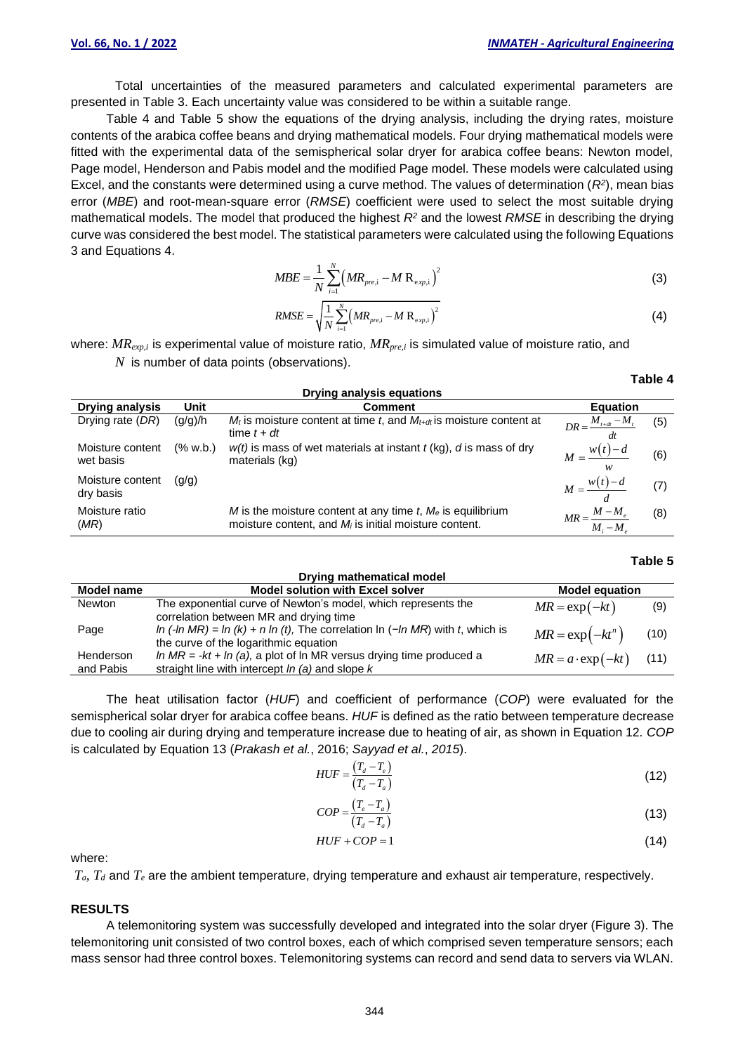Total uncertainties of the measured parameters and calculated experimental parameters are presented in Table 3. Each uncertainty value was considered to be within a suitable range.

Table 4 and Table 5 show the equations of the drying analysis, including the drying rates, moisture contents of the arabica coffee beans and drying mathematical models. Four drying mathematical models were fitted with the experimental data of the semispherical solar dryer for arabica coffee beans: Newton model, Page model, Henderson and Pabis model and the modified Page model. These models were calculated using Excel, and the constants were determined using a curve method. The values of determination (*R<sup>2</sup>* ), mean bias error (*MBE*) and root-mean-square error (*RMSE*) coefficient were used to select the most suitable drying mathematical models. The model that produced the highest *R<sup>2</sup>* and the lowest *RMSE* in describing the drying curve was considered the best model. The statistical parameters were calculated using the following Equations 3 and Equations 4.

$$
MBE = \frac{1}{N} \sum_{i=1}^{N} \left( M R_{pre,i} - M R_{exp,i} \right)^2
$$
 (3)

$$
RMSE = \sqrt{\frac{1}{N} \sum_{i=1}^{N} (MR_{pre,i} - MR_{\text{exp},i})^2}
$$
(4)

where: *MRexp,i* is experimental value of moisture ratio, *MRpre,i* is simulated value of moisture ratio, and *N* is number of data points (observations).

| <b>Drying analysis equations</b> |          |                                                                                                                           |                                              |     |  |  |  |  |  |  |
|----------------------------------|----------|---------------------------------------------------------------------------------------------------------------------------|----------------------------------------------|-----|--|--|--|--|--|--|
| <b>Drying analysis</b>           | Unit     | <b>Comment</b>                                                                                                            | <b>Equation</b>                              |     |  |  |  |  |  |  |
| Drying rate (DR)                 | (g/g)/h  | $M_t$ is moisture content at time t, and $M_{t+dt}$ is moisture content at<br>time $t + dt$                               | $DR = \frac{M_{t+dt} - M_t}{\sqrt{M_{t+dt}}$ | (5) |  |  |  |  |  |  |
| Moisture content<br>wet basis    | (% w.b.) | $w(t)$ is mass of wet materials at instant $t$ (kg), $d$ is mass of dry<br>materials (kg)                                 | $M = \frac{w(t)-d}{ }$<br>w                  | (6) |  |  |  |  |  |  |
| Moisture content<br>dry basis    | (q/q)    |                                                                                                                           | $M = \frac{w(t) - d}{ }$                     | (7) |  |  |  |  |  |  |
| Moisture ratio<br>(MR)           |          | M is the moisture content at any time t, $M_e$ is equilibrium<br>moisture content, and $M_i$ is initial moisture content. | $MR = \frac{M - M_e}{M}$<br>$M_i - M_i$      | (8) |  |  |  |  |  |  |

#### **Table 5**

**Table 4**

| Drying mathematical model<br><b>Model equation</b><br><b>Model solution with Excel solver</b><br>Model name |                                                                                                                          |                               |      |  |  |  |  |  |
|-------------------------------------------------------------------------------------------------------------|--------------------------------------------------------------------------------------------------------------------------|-------------------------------|------|--|--|--|--|--|
| <b>Newton</b>                                                                                               | The exponential curve of Newton's model, which represents the<br>correlation between MR and drying time                  | $MR = \exp(-kt)$              | (9)  |  |  |  |  |  |
| Page                                                                                                        | In (-In MR) = In (k) + n In (t), The correlation In (-In MR) with t, which is<br>the curve of the logarithmic equation   | $MR = \exp(-kt^n)$            | (10) |  |  |  |  |  |
| Henderson<br>and Pabis                                                                                      | In $MR = -kt + ln(a)$ , a plot of In MR versus drying time produced a<br>straight line with intercept In (a) and slope k | $MR = a \cdot \exp(-kt)$ (11) |      |  |  |  |  |  |

The heat utilisation factor (*HUF*) and coefficient of performance (*COP*) were evaluated for the semispherical solar dryer for arabica coffee beans. *HUF* is defined as the ratio between temperature decrease due to cooling air during drying and temperature increase due to heating of air, as shown in Equation 12. *COP* is calculated by Equation 13 (*Prakash et al.*, 2016; *Sayyad et al.*, *2015*).

$$
HUF = \frac{(T_d - T_e)}{(T_d - T_a)}
$$
\n(12)

$$
COP = \frac{(T_e - T_a)}{(T_d - T_a)}
$$
\n(13)

$$
HUF + COP = 1 \tag{14}
$$

where:

 $T_a$ ,  $T_d$  and  $T_e$  are the ambient temperature, drying temperature and exhaust air temperature, respectively.

#### **RESULTS**

A telemonitoring system was successfully developed and integrated into the solar dryer (Figure 3). The telemonitoring unit consisted of two control boxes, each of which comprised seven temperature sensors; each mass sensor had three control boxes. Telemonitoring systems can record and send data to servers via WLAN.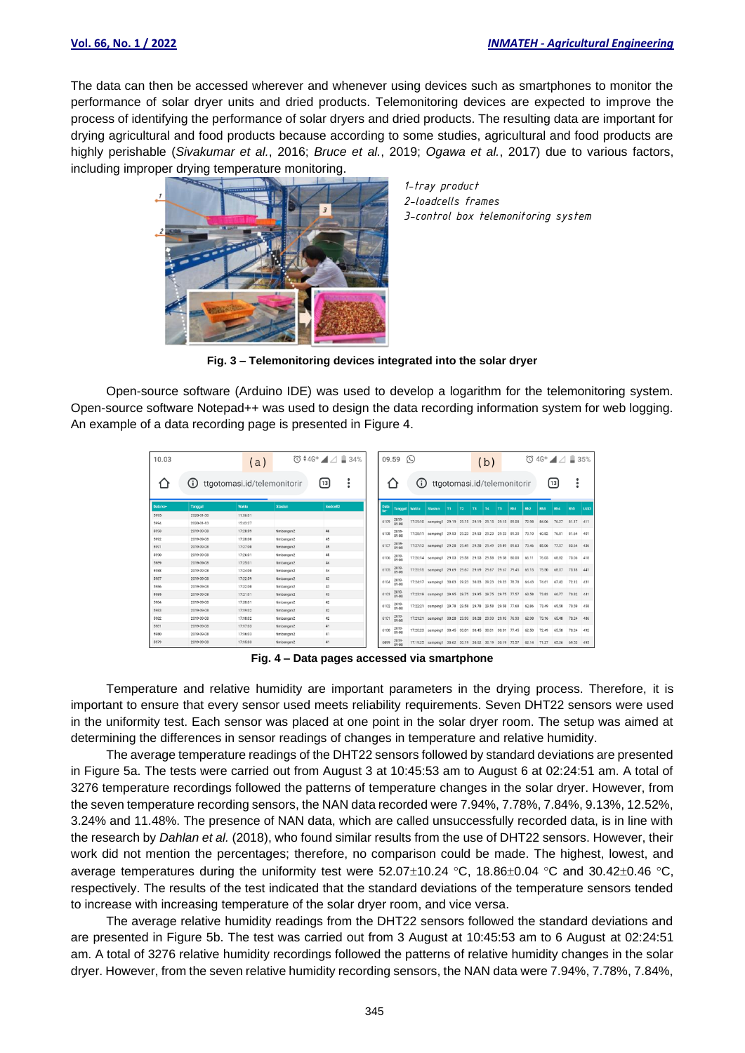The data can then be accessed wherever and whenever using devices such as smartphones to monitor the performance of solar dryer units and dried products. Telemonitoring devices are expected to improve the process of identifying the performance of solar dryers and dried products. The resulting data are important for drying agricultural and food products because according to some studies, agricultural and food products are highly perishable (*Sivakumar et al.*, 2016; *Bruce et al.*, 2019; *Ogawa et al.*, 2017) due to various factors, including improper drying temperature monitoring.



*1-tray product 2-loadcells frames 3-control box telemonitoring system*

**Fig. 3 – Telemonitoring devices integrated into the solar dryer**

Open-source software (Arduino IDE) was used to develop a logarithm for the telemonitoring system. Open-source software Notepad++ was used to design the data recording information system for web logging. An example of a data recording page is presented in Figure 4.

| 10.03        |                          | (a)                         |                          | $\overline{0}$ $\overline{0}$ $\overline{4}$ 4G <sup>+</sup> $\overline{4}$ $\overline{4}$ $\overline{4}$ $\overline{4}$ 34% |            | 09.59                | $\left( c\right)$ |                                                        |    |    |    | (b)       |    |     |                 |       | $\overline{O}$ 4G <sup>+</sup> $\overline{A}$ $\overline{B}$ 35% |            |      |
|--------------|--------------------------|-----------------------------|--------------------------|------------------------------------------------------------------------------------------------------------------------------|------------|----------------------|-------------------|--------------------------------------------------------|----|----|----|-----------|----|-----|-----------------|-------|------------------------------------------------------------------|------------|------|
|              | (i)                      | ttgotomasi.id/telemonitorir |                          | [13]                                                                                                                         |            |                      | (i)               | ttgotomasi.id/telemonitorir                            |    |    |    |           |    |     |                 |       | [13]                                                             |            |      |
| Data ke-     | Tanggal                  | Waktu                       | <b>Stasiun</b>           | loadcell2                                                                                                                    | Data<br>ke | Tanggal              | Waktu             | <b>Stasiun</b>                                         | T1 | T2 | T3 | <b>T4</b> | T5 | Rh1 | Rh <sub>2</sub> | Rh3   | Rh <sub>4</sub>                                                  | <b>Rh5</b> | LUX1 |
| 5995<br>5994 | 2020-01-30<br>2020-01-13 | 11:06:01<br>15:43:27        |                          |                                                                                                                              | 6109       | 2019<br>09.08        |                   | 17:29:10 samping1 29.19 29.15 29.19 29.15 29.15 89.08  |    |    |    |           |    |     | 72.98           | 84.06 | 76.27                                                            | 81.17 411  |      |
| 5993         | 2019-09-08               | 17:28:59                    | timbangan2               | 46                                                                                                                           | 6108       | 2019-                |                   | 17:28:11 samping1 29.53 29.23 29.53 29.23 29.23 89.30  |    |    |    |           |    |     | 73.10           | 60.82 | 76.81                                                            | 81.64 401  |      |
| 5992         | 2019-09-08               | 17:28:00                    | timbangan2               | 45                                                                                                                           | 6107       | 2019                 |                   | 17:27:13 samping1 29.28 29.49 29.28 29.49 29.49 89.63  |    |    |    |           |    |     | 73.46           | 85.06 | 77.57                                                            | 83.64 436  |      |
| 5991<br>5990 | 2019-09-08<br>2019-09-08 | 17:27:00<br>17:26:01        | timbangan2<br>timbangan2 | 45<br>45                                                                                                                     |            | 09-08                |                   |                                                        |    |    |    |           |    |     |                 |       |                                                                  |            |      |
| 9892         | 2019-09-08               | 17:25:01                    | timbangan2               | 44                                                                                                                           | 6106       | $\frac{2019}{09-08}$ |                   | 17:26:14 samping1 29.53 29.58 29.53 29.58 29.58 80.00  |    |    |    |           |    |     | 66.11           | 76.05 | 68.82                                                            | 73.06 418  |      |
| 5988         | 2019-09-08               | 17:24:00                    | timbangan2               | 44                                                                                                                           | 6105       | 2019<br>09-08        |                   | 17:25:15 samping1 29.69 29.67 29.69 29.67 29.67 79.45  |    |    |    |           |    |     | 65.15 75.50     |       | 68.07                                                            | 73.18 441  |      |
| 5987         | 2019-09-08               | 17:22:59                    | timbangan2               | 43                                                                                                                           | 6104       | 2019-                |                   | 17:24:17 sampling1 30.03 29.23 30.03 29.23 29.23 78.78 |    |    |    |           |    |     | 64.43           | 74.61 | 67.42                                                            | 72.12 431  |      |
| 5986         | 2019-09-08               | 17:22:00                    | timbangan2               | 43                                                                                                                           |            |                      |                   |                                                        |    |    |    |           |    |     |                 |       |                                                                  |            |      |
| 5985         | 2019-09-08               | 17:21:01                    | timbangan2               | 43                                                                                                                           | 6103       | 2019-                |                   | 17:23:19 samplng1 29.95 29.75 29.95 29.75 29.75 77.57  |    |    |    |           |    |     | 63.58           | 73.83 | 66.77                                                            | 70.82 441  |      |
| 5984         | 2019-09-08               | 17:20:01                    | timbangan2               | 42                                                                                                                           | 6102       | 2019-                |                   | 17:22:21 samping1 29.78 29.58 29.78 29.58 29.58 77.68  |    |    |    |           |    |     | 62.86           | 73.49 | 65.58                                                            | 70.59 458  |      |
| 5983         | 2019-09-08               | 17:19:02                    | timbangan2               | 42                                                                                                                           |            |                      |                   |                                                        |    |    |    |           |    |     |                 |       |                                                                  |            |      |
| 5982         | 2019-09-08               | 17:18:02                    | timbangan2               | 42                                                                                                                           | 6101       | $2019 - 08$          |                   | 17:21:21 samping1 30.28 29.93 30.28 29.93 29.93 76.90  |    |    |    |           |    |     | 62.98           | 73.16 | 65.48                                                            | 70.24 486  |      |
| 5981         | 2019-09-08               | 17:17:03                    | timbangan2               | 41                                                                                                                           | 6100       | 2019                 |                   | 17:20:23 samping1 30.45 30.01 30.45 30.01 30.01 77.45  |    |    |    |           |    |     | 62.50           | 72.49 | 65.58                                                            | 70.24 492  |      |
| 5980         | 2019-09-08               | 17:16:03                    | timbangan2               | 41                                                                                                                           |            | 09-08                |                   |                                                        |    |    |    |           |    |     |                 |       |                                                                  |            |      |
| 5979         | 2019-09-08               | 17:15:03                    | timbangan2               | 41                                                                                                                           | 6099       | 2019<br>00.08        |                   | 17:19:25 samping1 30.62 30.19 30.62 30.19 30.19 75.57  |    |    |    |           |    |     | 62.14           | 71.27 | 65.26                                                            | 69.53      | 495  |

**Fig. 4 – Data pages accessed via smartphone**

Temperature and relative humidity are important parameters in the drying process. Therefore, it is important to ensure that every sensor used meets reliability requirements. Seven DHT22 sensors were used in the uniformity test. Each sensor was placed at one point in the solar dryer room. The setup was aimed at determining the differences in sensor readings of changes in temperature and relative humidity.

The average temperature readings of the DHT22 sensors followed by standard deviations are presented in Figure 5a. The tests were carried out from August 3 at 10:45:53 am to August 6 at 02:24:51 am. A total of 3276 temperature recordings followed the patterns of temperature changes in the solar dryer. However, from the seven temperature recording sensors, the NAN data recorded were 7.94%, 7.78%, 7.84%, 9.13%, 12.52%, 3.24% and 11.48%. The presence of NAN data, which are called unsuccessfully recorded data, is in line with the research by *Dahlan et al.* (2018), who found similar results from the use of DHT22 sensors. However, their work did not mention the percentages; therefore, no comparison could be made. The highest, lowest, and average temperatures during the uniformity test were  $52.07\pm10.24$  °C, 18.86 $\pm$ 0.04 °C and 30.42 $\pm$ 0.46 °C, respectively. The results of the test indicated that the standard deviations of the temperature sensors tended to increase with increasing temperature of the solar dryer room, and vice versa.

The average relative humidity readings from the DHT22 sensors followed the standard deviations and are presented in Figure 5b. The test was carried out from 3 August at 10:45:53 am to 6 August at 02:24:51 am. A total of 3276 relative humidity recordings followed the patterns of relative humidity changes in the solar dryer. However, from the seven relative humidity recording sensors, the NAN data were 7.94%, 7.78%, 7.84%,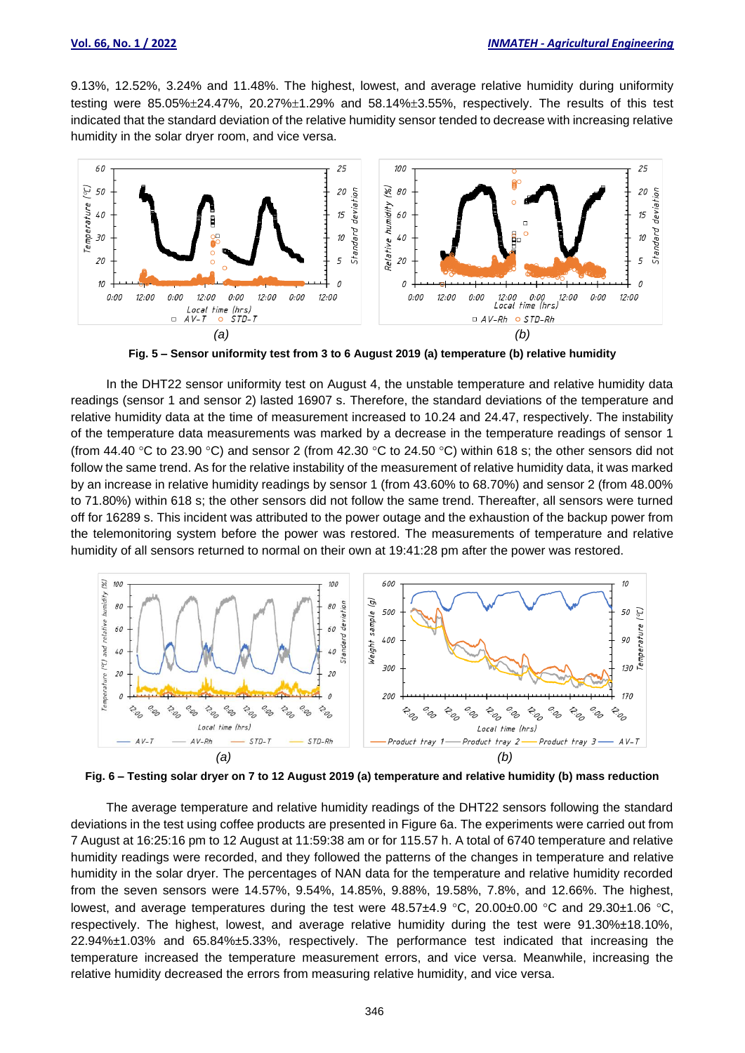9.13%, 12.52%, 3.24% and 11.48%. The highest, lowest, and average relative humidity during uniformity testing were  $85.05\% \pm 24.47\%$ ,  $20.27\% \pm 1.29\%$  and  $58.14\% \pm 3.55\%$ , respectively. The results of this test indicated that the standard deviation of the relative humidity sensor tended to decrease with increasing relative humidity in the solar dryer room, and vice versa.



**Fig. 5 – Sensor uniformity test from 3 to 6 August 2019 (a) temperature (b) relative humidity**

In the DHT22 sensor uniformity test on August 4, the unstable temperature and relative humidity data readings (sensor 1 and sensor 2) lasted 16907 s. Therefore, the standard deviations of the temperature and relative humidity data at the time of measurement increased to 10.24 and 24.47, respectively. The instability of the temperature data measurements was marked by a decrease in the temperature readings of sensor 1 (from 44.40 °C to 23.90 °C) and sensor 2 (from 42.30 °C to 24.50 °C) within 618 s; the other sensors did not follow the same trend. As for the relative instability of the measurement of relative humidity data, it was marked by an increase in relative humidity readings by sensor 1 (from 43.60% to 68.70%) and sensor 2 (from 48.00% to 71.80%) within 618 s; the other sensors did not follow the same trend. Thereafter, all sensors were turned off for 16289 s. This incident was attributed to the power outage and the exhaustion of the backup power from the telemonitoring system before the power was restored. The measurements of temperature and relative humidity of all sensors returned to normal on their own at 19:41:28 pm after the power was restored.



**Fig. 6 – Testing solar dryer on 7 to 12 August 2019 (a) temperature and relative humidity (b) mass reduction** 

The average temperature and relative humidity readings of the DHT22 sensors following the standard deviations in the test using coffee products are presented in Figure 6a. The experiments were carried out from 7 August at 16:25:16 pm to 12 August at 11:59:38 am or for 115.57 h. A total of 6740 temperature and relative humidity readings were recorded, and they followed the patterns of the changes in temperature and relative humidity in the solar dryer. The percentages of NAN data for the temperature and relative humidity recorded from the seven sensors were 14.57%, 9.54%, 14.85%, 9.88%, 19.58%, 7.8%, and 12.66%. The highest, lowest, and average temperatures during the test were  $48.57\pm4.9$  °C, 20.00 $\pm$ 0.00 °C and 29.30 $\pm$ 1.06 °C, respectively. The highest, lowest, and average relative humidity during the test were 91.30%±18.10%, 22.94%±1.03% and 65.84%±5.33%, respectively. The performance test indicated that increasing the temperature increased the temperature measurement errors, and vice versa. Meanwhile, increasing the relative humidity decreased the errors from measuring relative humidity, and vice versa.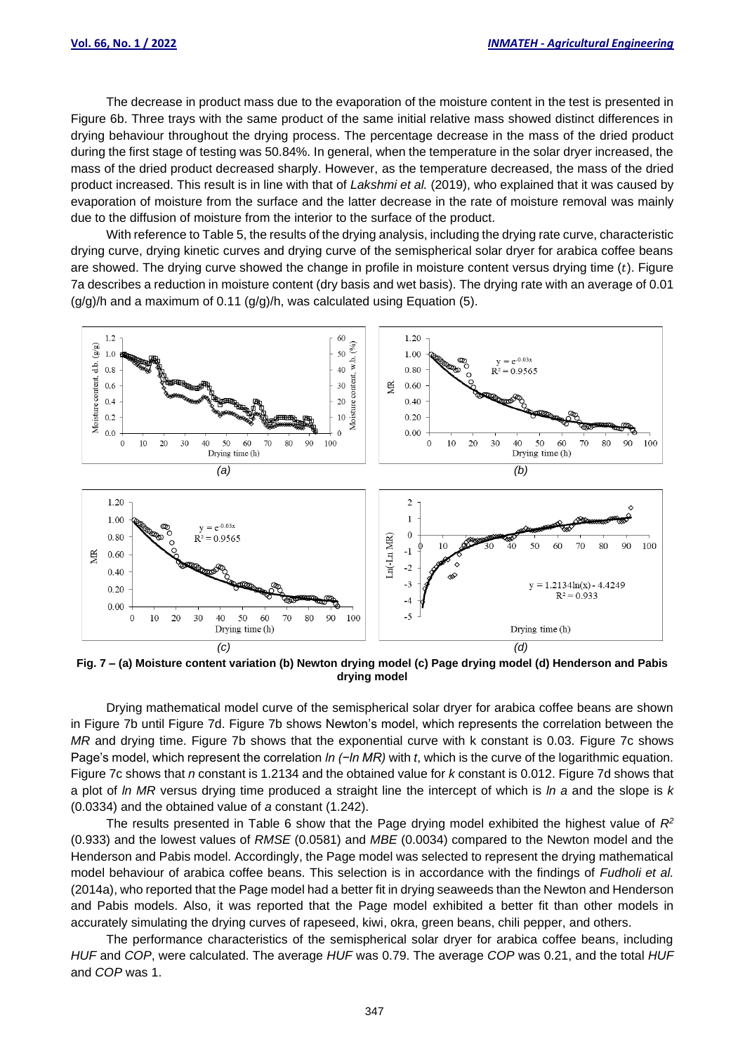The decrease in product mass due to the evaporation of the moisture content in the test is presented in Figure 6b. Three trays with the same product of the same initial relative mass showed distinct differences in drying behaviour throughout the drying process. The percentage decrease in the mass of the dried product during the first stage of testing was 50.84%. In general, when the temperature in the solar dryer increased, the mass of the dried product decreased sharply. However, as the temperature decreased, the mass of the dried product increased. This result is in line with that of *Lakshmi et al.* (2019), who explained that it was caused by evaporation of moisture from the surface and the latter decrease in the rate of moisture removal was mainly due to the diffusion of moisture from the interior to the surface of the product.

With reference to Table 5, the results of the drying analysis, including the drying rate curve, characteristic drying curve, drying kinetic curves and drying curve of the semispherical solar dryer for arabica coffee beans are showed. The drying curve showed the change in profile in moisture content versus drying time  $(t)$ . Figure 7a describes a reduction in moisture content (dry basis and wet basis). The drying rate with an average of 0.01  $(g/g)/h$  and a maximum of 0.11  $(g/g)/h$ , was calculated using Equation (5).



**Fig. 7 – (a) Moisture content variation (b) Newton drying model (c) Page drying model (d) Henderson and Pabis drying model**

Drying mathematical model curve of the semispherical solar dryer for arabica coffee beans are shown in Figure 7b until Figure 7d. Figure 7b shows Newton's model, which represents the correlation between the *MR* and drying time. Figure 7b shows that the exponential curve with k constant is 0.03. Figure 7c shows Page's model, which represent the correlation *ln (−ln MR)* with *t*, which is the curve of the logarithmic equation. Figure 7c shows that *n* constant is 1.2134 and the obtained value for *k* constant is 0.012. Figure 7d shows that a plot of *ln MR* versus drying time produced a straight line the intercept of which is *ln a* and the slope is *k*  (0.0334) and the obtained value of *a* constant (1.242).

The results presented in Table 6 show that the Page drying model exhibited the highest value of *R<sup>2</sup>* (0.933) and the lowest values of *RMSE* (0.0581) and *MBE* (0.0034) compared to the Newton model and the Henderson and Pabis model. Accordingly, the Page model was selected to represent the drying mathematical model behaviour of arabica coffee beans. This selection is in accordance with the findings of *Fudholi et al.* (2014a), who reported that the Page model had a better fit in drying seaweeds than the Newton and Henderson and Pabis models. Also, it was reported that the Page model exhibited a better fit than other models in accurately simulating the drying curves of rapeseed, kiwi, okra, green beans, chili pepper, and others.

The performance characteristics of the semispherical solar dryer for arabica coffee beans, including *HUF* and *COP*, were calculated. The average *HUF* was 0.79. The average *COP* was 0.21, and the total *HUF* and *COP* was 1.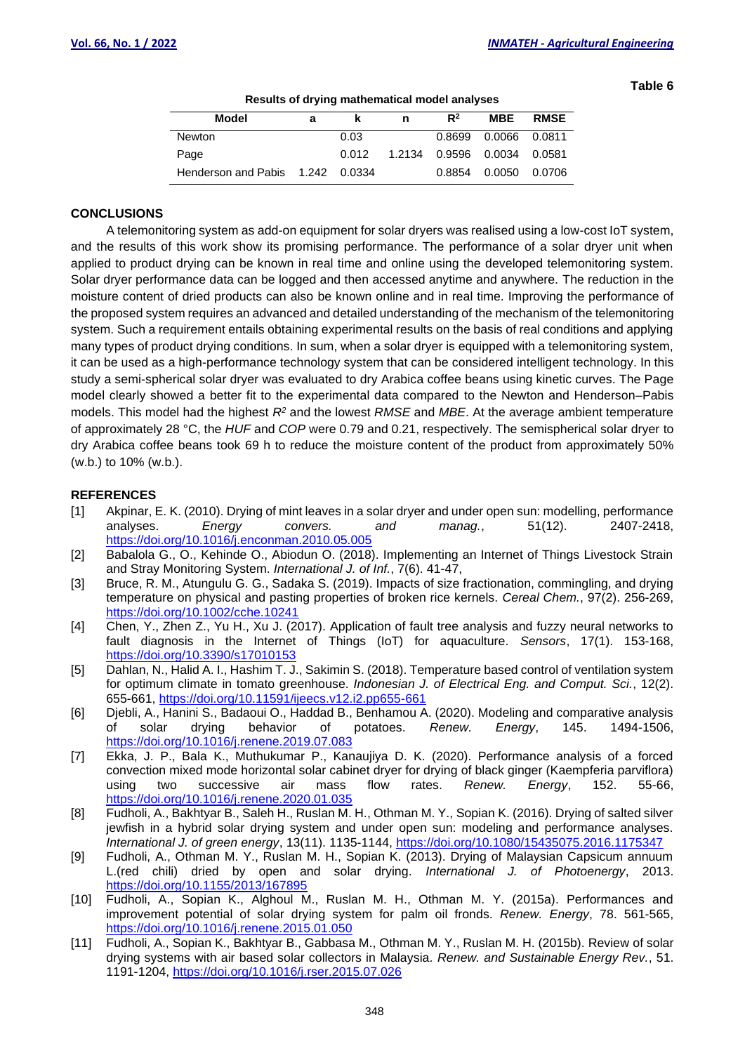**Table 6**

| Results of all yilly mathematical model analyses |   |       |        |               |                      |             |  |  |  |  |  |
|--------------------------------------------------|---|-------|--------|---------------|----------------------|-------------|--|--|--|--|--|
| Model                                            | а | ĸ     | n      | $R^2$         | <b>MBE</b>           | <b>RMSE</b> |  |  |  |  |  |
| <b>Newton</b>                                    |   | 0.03  |        |               | 0.8699 0.0066 0.0811 |             |  |  |  |  |  |
| Page                                             |   | 0.012 | 1.2134 | 0.9596 0.0034 |                      | 0.0581      |  |  |  |  |  |
| Henderson and Pabis 1.242 0.0334                 |   |       |        | 0.8854        | 0.0050               | 0.0706      |  |  |  |  |  |

**Results of drying mathematical model analyses**

## **CONCLUSIONS**

A telemonitoring system as add-on equipment for solar dryers was realised using a low-cost IoT system, and the results of this work show its promising performance. The performance of a solar dryer unit when applied to product drying can be known in real time and online using the developed telemonitoring system. Solar dryer performance data can be logged and then accessed anytime and anywhere. The reduction in the moisture content of dried products can also be known online and in real time. Improving the performance of the proposed system requires an advanced and detailed understanding of the mechanism of the telemonitoring system. Such a requirement entails obtaining experimental results on the basis of real conditions and applying many types of product drying conditions. In sum, when a solar dryer is equipped with a telemonitoring system, it can be used as a high-performance technology system that can be considered intelligent technology. In this study a semi-spherical solar dryer was evaluated to dry Arabica coffee beans using kinetic curves. The Page model clearly showed a better fit to the experimental data compared to the Newton and Henderson–Pabis models. This model had the highest *R<sup>2</sup>* and the lowest *RMSE* and *MBE*. At the average ambient temperature of approximately 28 °C, the *HUF* and *COP* were 0.79 and 0.21, respectively. The semispherical solar dryer to dry Arabica coffee beans took 69 h to reduce the moisture content of the product from approximately 50% (w.b.) to 10% (w.b.).

#### **REFERENCES**

- [1] Akpinar, E. K. (2010). Drying of mint leaves in a solar dryer and under open sun: modelling, performance analyses. *Energy convers. and manag.*, 51(12). 2407-2418, <https://doi.org/10.1016/j.enconman.2010.05.005>
- [2] Babalola G., O., Kehinde O., Abiodun O. (2018). Implementing an Internet of Things Livestock Strain and Stray Monitoring System. *International J. of Inf.*, 7(6). 41-47,
- [3] Bruce, R. M., Atungulu G. G., Sadaka S. (2019). Impacts of size fractionation, commingling, and drying temperature on physical and pasting properties of broken rice kernels. *Cereal Chem.*, 97(2). 256-269, <https://doi.org/10.1002/cche.10241>
- [4] Chen, Y., Zhen Z., Yu H., Xu J. (2017). Application of fault tree analysis and fuzzy neural networks to fault diagnosis in the Internet of Things (IoT) for aquaculture. *Sensors*, 17(1). 153-168, <https://doi.org/10.3390/s17010153>
- [5] Dahlan, N., Halid A. I., Hashim T. J., Sakimin S. (2018). Temperature based control of ventilation system for optimum climate in tomato greenhouse. *Indonesian J. of Electrical Eng. and Comput. Sci.*, 12(2). 655-661,<https://doi.org/10.11591/ijeecs.v12.i2.pp655-661>
- [6] Djebli, A., Hanini S., Badaoui O., Haddad B., Benhamou A. (2020). Modeling and comparative analysis of solar drying behavior of potatoes. *Renew. Energy*, 145. 1494-1506, <https://doi.org/10.1016/j.renene.2019.07.083>
- [7] Ekka, J. P., Bala K., Muthukumar P., Kanaujiya D. K. (2020). Performance analysis of a forced convection mixed mode horizontal solar cabinet dryer for drying of black ginger (Kaempferia parviflora) using two successive air mass flow rates. *Renew. Energy*, 152. 55-66, <https://doi.org/10.1016/j.renene.2020.01.035>
- [8] Fudholi, A., Bakhtyar B., Saleh H., Ruslan M. H., Othman M. Y., Sopian K. (2016). Drying of salted silver jewfish in a hybrid solar drying system and under open sun: modeling and performance analyses. *International J. of green energy*, 13(11). 1135-1144,<https://doi.org/10.1080/15435075.2016.1175347>
- [9] Fudholi, A., Othman M. Y., Ruslan M. H., Sopian K. (2013). Drying of Malaysian Capsicum annuum L.(red chili) dried by open and solar drying. *International J. of Photoenergy*, 2013. <https://doi.org/10.1155/2013/167895>
- [10] Fudholi, A., Sopian K., Alghoul M., Ruslan M. H., Othman M. Y. (2015a). Performances and improvement potential of solar drying system for palm oil fronds. *Renew. Energy*, 78. 561-565, <https://doi.org/10.1016/j.renene.2015.01.050>
- [11] Fudholi, A., Sopian K., Bakhtyar B., Gabbasa M., Othman M. Y., Ruslan M. H. (2015b). Review of solar drying systems with air based solar collectors in Malaysia. *Renew. and Sustainable Energy Rev.*, 51. 1191-1204,<https://doi.org/10.1016/j.rser.2015.07.026>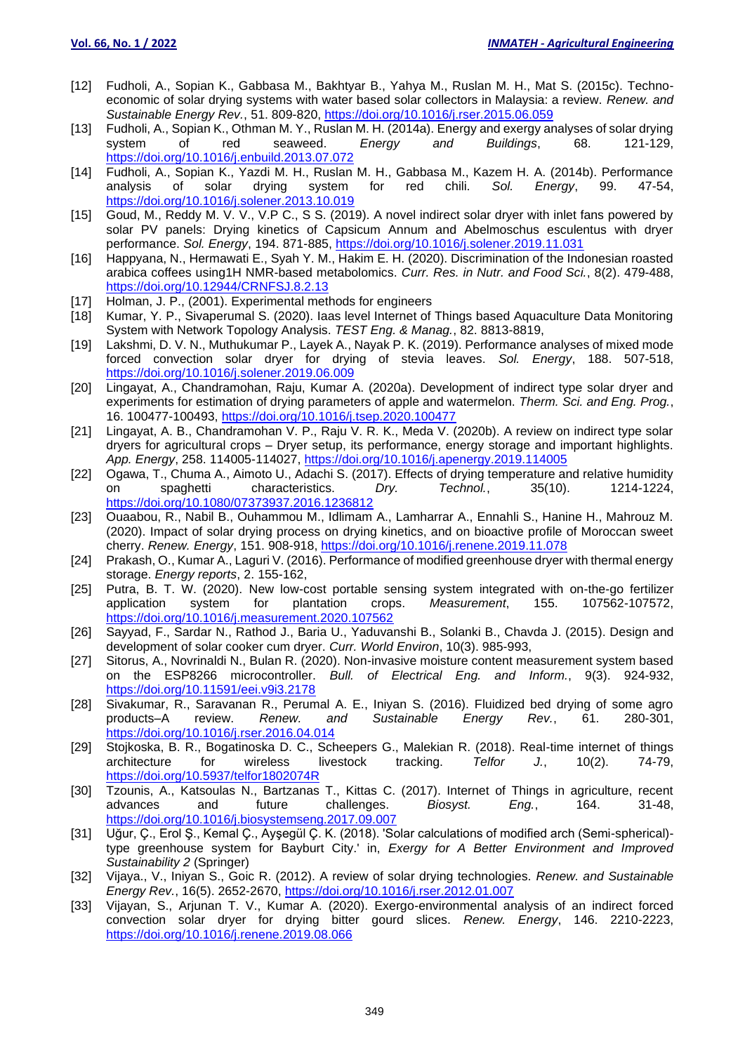- [12] Fudholi, A., Sopian K., Gabbasa M., Bakhtyar B., Yahya M., Ruslan M. H., Mat S. (2015c). Technoeconomic of solar drying systems with water based solar collectors in Malaysia: a review. *Renew. and Sustainable Energy Rev.*, 51. 809-820,<https://doi.org/10.1016/j.rser.2015.06.059>
- [13] Fudholi, A., Sopian K., Othman M. Y., Ruslan M. H. (2014a). Energy and exergy analyses of solar drying system of red seaweed. *Energy and Buildings*, 68. 121-129, <https://doi.org/10.1016/j.enbuild.2013.07.072>
- [14] Fudholi, A., Sopian K., Yazdi M. H., Ruslan M. H., Gabbasa M., Kazem H. A. (2014b). Performance<br>analysis of solar drying system for red chili. Sol. Energy. 99. 47-54. analysis of solar drying system for red chili. *Sol. Energy*, 99. 47-54, <https://doi.org/10.1016/j.solener.2013.10.019>
- [15] Goud, M., Reddy M. V. V., V.P C., S S. (2019). A novel indirect solar dryer with inlet fans powered by solar PV panels: Drying kinetics of Capsicum Annum and Abelmoschus esculentus with dryer performance. *Sol. Energy*, 194. 871-885,<https://doi.org/10.1016/j.solener.2019.11.031>
- [16] Happyana, N., Hermawati E., Syah Y. M., Hakim E. H. (2020). Discrimination of the Indonesian roasted arabica coffees using1H NMR-based metabolomics. *Curr. Res. in Nutr. and Food Sci.*, 8(2). 479-488, <https://doi.org/10.12944/CRNFSJ.8.2.13>
- [17] Holman, J. P., (2001). Experimental methods for engineers
- [18] Kumar, Y. P., Sivaperumal S. (2020). Iaas level Internet of Things based Aquaculture Data Monitoring System with Network Topology Analysis. *TEST Eng. & Manag.*, 82. 8813-8819,
- [19] Lakshmi, D. V. N., Muthukumar P., Layek A., Nayak P. K. (2019). Performance analyses of mixed mode forced convection solar dryer for drying of stevia leaves. *Sol. Energy*, 188. 507-518, <https://doi.org/10.1016/j.solener.2019.06.009>
- [20] Lingayat, A., Chandramohan, Raju, Kumar A. (2020a). Development of indirect type solar dryer and experiments for estimation of drying parameters of apple and watermelon. *Therm. Sci. and Eng. Prog.*, 16. 100477-100493,<https://doi.org/10.1016/j.tsep.2020.100477>
- [21] Lingayat, A. B., Chandramohan V. P., Raju V. R. K., Meda V. (2020b). A review on indirect type solar dryers for agricultural crops – Dryer setup, its performance, energy storage and important highlights. *App. Energy*, 258. 114005-114027,<https://doi.org/10.1016/j.apenergy.2019.114005>
- [22] Ogawa, T., Chuma A., Aimoto U., Adachi S. (2017). Effects of drying temperature and relative humidity on spaghetti characteristics. *Dry. Technol.*, 35(10). 1214-1224, <https://doi.org/10.1080/07373937.2016.1236812>
- [23] Ouaabou, R., Nabil B., Ouhammou M., Idlimam A., Lamharrar A., Ennahli S., Hanine H., Mahrouz M. (2020). Impact of solar drying process on drying kinetics, and on bioactive profile of Moroccan sweet cherry. *Renew. Energy*, 151. 908-918,<https://doi.org/10.1016/j.renene.2019.11.078>
- [24] Prakash, O., Kumar A., Laguri V. (2016). Performance of modified greenhouse dryer with thermal energy storage. *Energy reports*, 2. 155-162,
- [25] Putra, B. T. W. (2020). New low-cost portable sensing system integrated with on-the-go fertilizer application system for plantation crops. *Measurement*, 155. 107562-107572, <https://doi.org/10.1016/j.measurement.2020.107562>
- [26] Sayyad, F., Sardar N., Rathod J., Baria U., Yaduvanshi B., Solanki B., Chavda J. (2015). Design and development of solar cooker cum dryer. *Curr. World Environ*, 10(3). 985-993,
- [27] Sitorus, A., Novrinaldi N., Bulan R. (2020). Non-invasive moisture content measurement system based on the ESP8266 microcontroller. *Bull. of Electrical Eng. and Inform.*, 9(3). 924-932, <https://doi.org/10.11591/eei.v9i3.2178>
- [28] Sivakumar, R., Saravanan R., Perumal A. E., Iniyan S. (2016). Fluidized bed drying of some agro products–A review. *Renew. and Sustainable Energy Rev.*, 61. 280-301, <https://doi.org/10.1016/j.rser.2016.04.014>
- [29] Stojkoska, B. R., Bogatinoska D. C., Scheepers G., Malekian R. (2018). Real-time internet of things architecture for wireless livestock tracking. *Telfor J.*, 10(2). 74-79, <https://doi.org/10.5937/telfor1802074R>
- [30] Tzounis, A., Katsoulas N., Bartzanas T., Kittas C. (2017). Internet of Things in agriculture, recent advances and future challenges. Biosyst. Eng., 164. 31-48. advances and future challenges. *Biosyst. Eng.*, 164. 31-48, <https://doi.org/10.1016/j.biosystemseng.2017.09.007>
- [31] Uğur, Ç., Erol Ş., Kemal Ç., Ayşegül Ç. K. (2018). 'Solar calculations of modified arch (Semi-spherical) type greenhouse system for Bayburt City.' in, *Exergy for A Better Environment and Improved Sustainability 2* (Springer)
- [32] Vijaya., V., Iniyan S., Goic R. (2012). A review of solar drying technologies. *Renew. and Sustainable Energy Rev.*, 16(5). 2652-2670,<https://doi.org/10.1016/j.rser.2012.01.007>
- [33] Vijayan, S., Arjunan T. V., Kumar A. (2020). Exergo-environmental analysis of an indirect forced convection solar dryer for drying bitter gourd slices. *Renew. Energy*, 146. 2210-2223, <https://doi.org/10.1016/j.renene.2019.08.066>